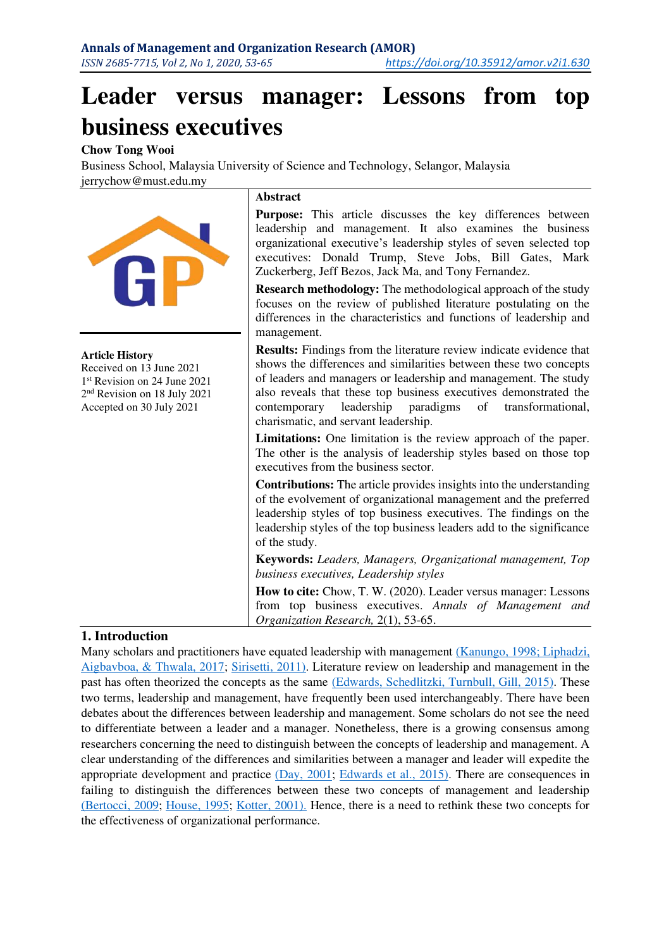# **Leader versus manager: Lessons from top business executives**

## **Chow Tong Wooi**

Business School, Malaysia University of Science and Technology, Selangor, Malaysia [jerrychow@must.edu.my](mailto:jerrychow@must.edu.my) 



#### **Article History**

Received on 13 June 2021 1 st Revision on 24 June 2021 2 nd Revision on 18 July 2021 Accepted on 30 July 2021

#### **Abstract**

Purpose: This article discusses the key differences between leadership and management. It also examines the business organizational executive's leadership styles of seven selected top executives: Donald Trump, Steve Jobs, Bill Gates, Mark Zuckerberg, Jeff Bezos, Jack Ma, and Tony Fernandez.

**Research methodology:** The methodological approach of the study focuses on the review of published literature postulating on the differences in the characteristics and functions of leadership and management.

**Results:** Findings from the literature review indicate evidence that shows the differences and similarities between these two concepts of leaders and managers or leadership and management. The study also reveals that these top business executives demonstrated the contemporary leadership paradigms of transformational, charismatic, and servant leadership.

**Limitations:** One limitation is the review approach of the paper. The other is the analysis of leadership styles based on those top executives from the business sector.

**Contributions:** The article provides insights into the understanding of the evolvement of organizational management and the preferred leadership styles of top business executives. The findings on the leadership styles of the top business leaders add to the significance of the study.

**Keywords:** *Leaders, Managers, Organizational management, Top business executives, Leadership styles*

**How to cite:** Chow, T. W. (2020). Leader versus manager: Lessons from top business executives. *Annals of Management and Organization Research,* 2(1), 53-65.

## **1. Introduction**

Many scholars and practitioners have equated leadership with management [\(Kanungo, 1998](#page-11-0); Liphadzi, [Aigbavboa, & Thwala, 2017;](#page-11-1) [Sirisetti, 2011\).](#page-12-0) Literature review on leadership and management in the past has often theorized the concepts as the same [\(Edwards, Schedlitzki, Turnbull,](#page-10-0) Gill, 2015). These two terms, leadership and management, have frequently been used interchangeably. There have been debates about the differences between leadership and management. Some scholars do not see the need to differentiate between a leader and a manager. Nonetheless, there is a growing consensus among researchers concerning the need to distinguish between the concepts of leadership and management. A clear understanding of the differences and similarities between a manager and leader will expedite the appropriate development and practice [\(Day, 2001;](#page-10-1) [Edwards et al., 2015\).](#page-10-0) There are consequences in failing to distinguish the differences between these two concepts of management and leadership [\(Bertocci, 2009;](#page-10-2) [House, 1995;](#page-11-2) [Kotter, 2001\).](#page-11-3) Hence, there is a need to rethink these two concepts for the effectiveness of organizational performance.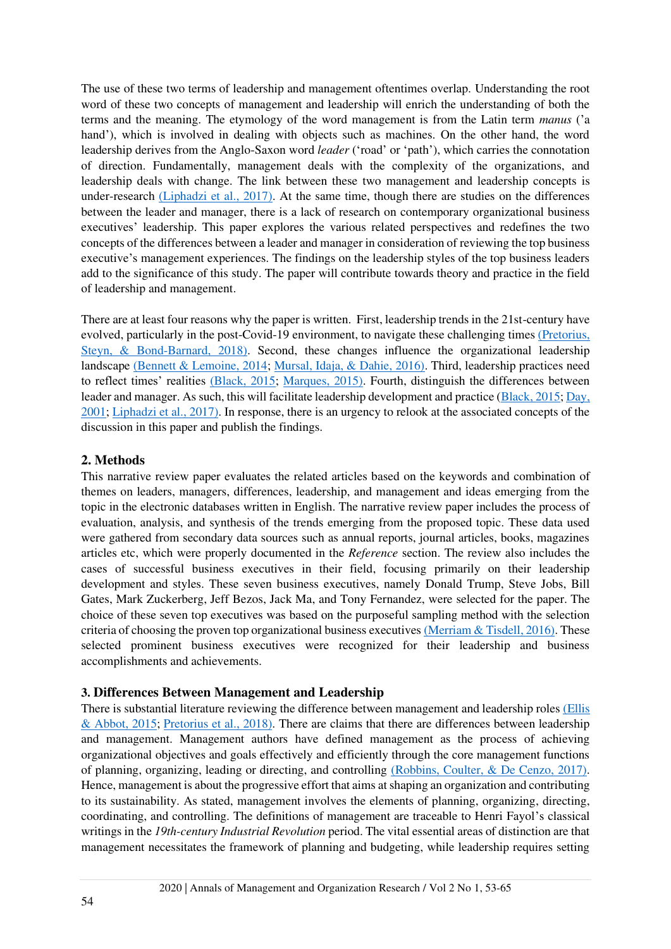The use of these two terms of leadership and management oftentimes overlap. Understanding the root word of these two concepts of management and leadership will enrich the understanding of both the terms and the meaning. The etymology of the word management is from the Latin term *manus* ('a hand'), which is involved in dealing with objects such as machines. On the other hand, the word leadership derives from the Anglo-Saxon word *leader* ('road' or 'path'), which carries the connotation of direction. Fundamentally, management deals with the complexity of the organizations, and leadership deals with change. The link between these two management and leadership concepts is under-research [\(Liphadzi et al., 2017\).](#page-11-1) At the same time, though there are studies on the differences between the leader and manager, there is a lack of research on contemporary organizational business executives' leadership. This paper explores the various related perspectives and redefines the two concepts of the differences between a leader and manager in consideration of reviewing the top business executive's management experiences. The findings on the leadership styles of the top business leaders add to the significance of this study. The paper will contribute towards theory and practice in the field of leadership and management.

There are at least four reasons why the paper is written. First, leadership trends in the 21st-century have evolved, particularly in the post-Covid-19 environment, to navigate these challenging times [\(Pretorius,](#page-12-1)  [Steyn, & Bond-Barnard, 2018\).](#page-12-1) Second, these changes influence the organizational leadership landscape [\(Bennett & Lemoine, 2014;](#page-10-3) [Mursal, Idaja, & Dahie, 2016\).](#page-11-4) Third, leadership practices need to reflect times' realities [\(Black, 2015;](#page-10-4) [Marques, 2015\).](#page-11-5) Fourth, distinguish the differences between leader and manager. As such, this will facilitate leadership development and practice [\(Black, 2015;](#page-10-4) [Day,](#page-10-1)  [2001;](#page-10-1) [Liphadzi et al., 2017\).](#page-11-1) In response, there is an urgency to relook at the associated concepts of the discussion in this paper and publish the findings.

## **2. Methods**

This narrative review paper evaluates the related articles based on the keywords and combination of themes on leaders, managers, differences, leadership, and management and ideas emerging from the topic in the electronic databases written in English. The narrative review paper includes the process of evaluation, analysis, and synthesis of the trends emerging from the proposed topic. These data used were gathered from secondary data sources such as annual reports, journal articles, books, magazines articles etc, which were properly documented in the *Reference* section. The review also includes the cases of successful business executives in their field, focusing primarily on their leadership development and styles. These seven business executives, namely Donald Trump, Steve Jobs, Bill Gates, Mark Zuckerberg, Jeff Bezos, Jack Ma, and Tony Fernandez, were selected for the paper. The choice of these seven top executives was based on the purposeful sampling method with the selection criteria of choosing the proven top organizational business executives [\(Merriam & Tisdell, 2016\).](#page-11-6) These selected prominent business executives were recognized for their leadership and business accomplishments and achievements.

## **3. Differences Between Management and Leadership**

There is substantial literature reviewing the difference between management and leadership role[s \(Ellis](#page-10-5)  [& Abbot, 2015;](#page-10-5) [Pretorius et al., 2018\).](#page-12-1) There are claims that there are differences between leadership and management. Management authors have defined management as the process of achieving organizational objectives and goals effectively and efficiently through the core management functions of planning, organizing, leading or directing, and controlling [\(Robbins, Coulter, & De Cenzo, 2017\).](#page-12-2) Hence, management is about the progressive effort that aims at shaping an organization and contributing to its sustainability. As stated, management involves the elements of planning, organizing, directing, coordinating, and controlling. The definitions of management are traceable to Henri Fayol's classical writings in the *19th-century Industrial Revolution* period. The vital essential areas of distinction are that management necessitates the framework of planning and budgeting, while leadership requires setting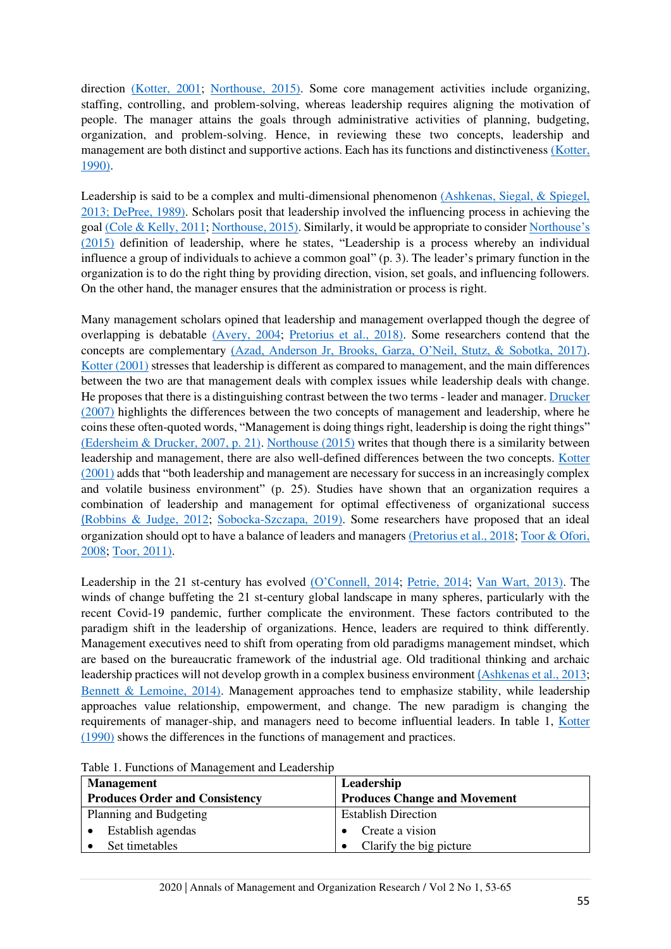direction [\(Kotter, 2001;](#page-11-3) [Northouse, 2015\).](#page-11-7) Some core management activities include organizing, staffing, controlling, and problem-solving, whereas leadership requires aligning the motivation of people. The manager attains the goals through administrative activities of planning, budgeting, organization, and problem-solving. Hence, in reviewing these two concepts, leadership and management are both distinct and supportive actions. Each has its functions and distinctiveness [\(Kotter,](#page-11-8)  [1990\).](#page-11-8)

Leadership is said to be a complex and multi-dimensional phenomenon [\(Ashkenas, Siegal, & Spiegel,](#page-9-0)  [2013](#page-9-0)[; DePree, 1989\).](#page-10-6) Scholars posit that leadership involved the influencing process in achieving the goa[l \(Cole & Kelly, 2011;](#page-10-7) [Northouse, 2015\).](#page-11-7) Similarly, it would be appropriate to consider [Northouse's](#page-11-7)  [\(2015\)](#page-11-7) definition of leadership, where he states, "Leadership is a process whereby an individual influence a group of individuals to achieve a common goal" (p. 3). The leader's primary function in the organization is to do the right thing by providing direction, vision, set goals, and influencing followers. On the other hand, the manager ensures that the administration or process is right.

Many management scholars opined that leadership and management overlapped though the degree of overlapping is debatable [\(Avery, 2004;](#page-10-8) [Pretorius et al., 2018\).](#page-12-1) Some researchers contend that the concepts are complementary [\(Azad, Anderson Jr, Brooks, Garza, O'Neil, Stutz, & Sobotka, 2017\)](#page-10-9). [Kotter \(2001\)](#page-11-3) stresses that leadership is different as compared to management, and the main differences between the two are that management deals with complex issues while leadership deals with change. He proposes that there is a distinguishing contrast between the two terms - leader and manager[. Drucker](#page-10-10)  [\(2007\)](#page-10-10) highlights the differences between the two concepts of management and leadership, where he coins these often-quoted words, "Management is doing things right, leadership is doing the right things" [\(Edersheim & Drucker, 2007, p. 21\).](#page-10-11) [Northouse \(2015\)](#page-11-7) writes that though there is a similarity between leadership and management, there are also well-defined differences between the two concepts. [Kotter](#page-11-3)  [\(2001\) a](#page-11-3)dds that "both leadership and management are necessary for success in an increasingly complex and volatile business environment" (p. 25). Studies have shown that an organization requires a combination of leadership and management for optimal effectiveness of organizational success [\(](#page-12-3)[Robbins & Judge, 2012;](#page-12-3) [Sobocka-Szczapa, 2019\).](#page-12-4) Some researchers have proposed that an ideal organization should opt to have a balance of leaders and manager[s \(Pretorius et al., 2018;](#page-12-1) [Toor & Ofori,](#page-12-5)  [2008;](#page-12-5) [Toor, 2011\).](#page-12-6)

Leadership in the 21 st-century has evolved [\(O'Connell, 2014](#page-11-9); [Petrie, 2014;](#page-11-10) [Van Wart, 2013\).](#page-12-7) The winds of change buffeting the 21 st-century global landscape in many spheres, particularly with the recent Covid-19 pandemic, further complicate the environment. These factors contributed to the paradigm shift in the leadership of organizations. Hence, leaders are required to think differently. Management executives need to shift from operating from old paradigms management mindset, which are based on the bureaucratic framework of the industrial age. Old traditional thinking and archaic leadership practices will not develop growth in a complex business environment [\(](#page-9-0)[Ashkenas et al., 2013;](#page-9-0) [Bennett & Lemoine, 2014\).](#page-10-3) Management approaches tend to emphasize stability, while leadership approaches value relationship, empowerment, and change. The new paradigm is changing the requirements of manager-ship, and managers need to become influential leaders. In table 1, [Kotter](#page-11-8)  [\(1990\)](#page-11-8) shows the differences in the functions of management and practices.

| <b>Management</b>                     | Leadership                          |  |
|---------------------------------------|-------------------------------------|--|
| <b>Produces Order and Consistency</b> | <b>Produces Change and Movement</b> |  |
| Planning and Budgeting                | <b>Establish Direction</b>          |  |
| Establish agendas                     | Create a vision                     |  |
| Set timetables                        | Clarify the big picture             |  |

Table 1. Functions of Management and Leadership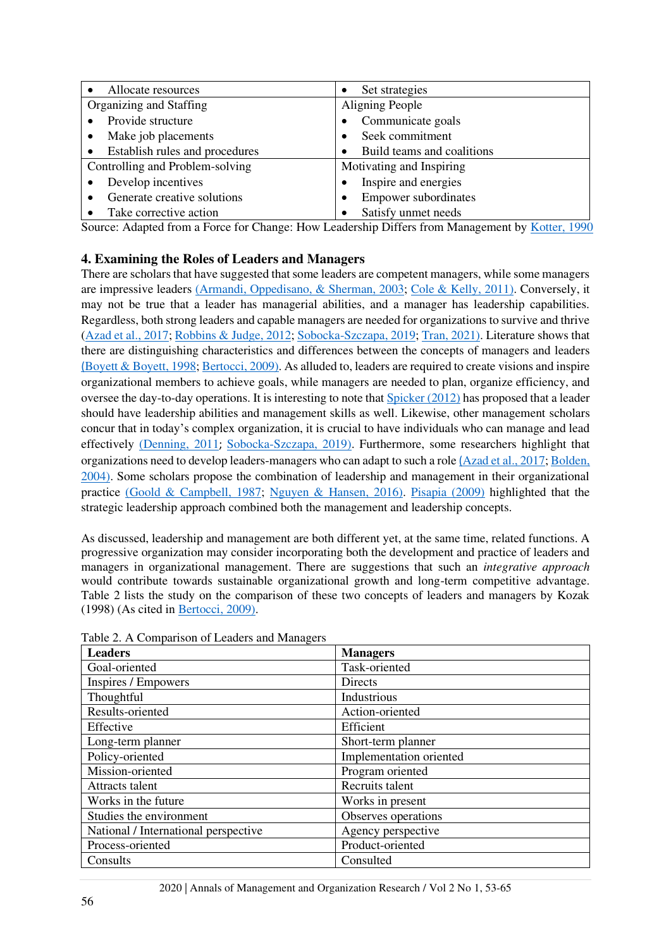| Allocate resources                          | Set strategies<br>٠         |  |  |
|---------------------------------------------|-----------------------------|--|--|
| Organizing and Staffing                     | Aligning People             |  |  |
| Provide structure                           | Communicate goals           |  |  |
| Make job placements                         | Seek commitment             |  |  |
| Establish rules and procedures<br>$\bullet$ | Build teams and coalitions  |  |  |
| Controlling and Problem-solving             | Motivating and Inspiring    |  |  |
| Develop incentives                          | Inspire and energies        |  |  |
| Generate creative solutions                 | <b>Empower subordinates</b> |  |  |
| Take corrective action                      | Satisfy unmet needs         |  |  |

Source: Adapted from a Force for Change: How Leadership Differs from Management by [Kotter, 1990](#page-11-8)

## **4. Examining the Roles of Leaders and Managers**

There are scholars that have suggested that some leaders are competent managers, while some managers are impressive leaders [\(Armandi, Oppedisano, & Sherman, 2003;](#page-9-1) [Cole & Kelly, 2011\).](#page-10-7) Conversely, it may not be true that a leader has managerial abilities, and a manager has leadership capabilities. Regardless, both strong leaders and capable managers are needed for organizations to survive and thrive [\(Azad et al., 2017;](#page-10-9) [Robbins & Judge, 2012;](#page-12-3) [Sobocka-Szczapa, 2019;](#page-12-4) [Tran, 2021\).](#page-12-8) Literature shows that there are distinguishing characteristics and differences between the concepts of managers and leaders [\(](#page-10-12)[Boyett & Boyett, 1998;](#page-10-12) [Bertocci, 2009\).](#page-10-2) As alluded to, leaders are required to create visions and inspire organizational members to achieve goals, while managers are needed to plan, organize efficiency, and oversee the day-to-day operations. It is interesting to note that [Spicker \(2012\) h](#page-12-9)as proposed that a leader should have leadership abilities and management skills as well. Likewise, other management scholars concur that in today's complex organization, it is crucial to have individuals who can manage and lead effectively [\(Denning, 2011](#page-10-13); [Sobocka-Szczapa, 2019\).](#page-12-4) Furthermore, some researchers highlight that organizations need to develop leaders-managers who can adapt to such a role [\(](#page-10-9)[Azad et al., 2017;](#page-10-9) [Bolden,](#page-10-14)  [2004\).](#page-10-14) Some scholars propose the combination of leadership and management in their organizational practice [\(Goold & Campbell, 1987;](#page-10-15) [Nguyen & Hansen, 2016\).](#page-11-11) [Pisapia \(2009\)](#page-11-12) highlighted that the strategic leadership approach combined both the management and leadership concepts.

As discussed, leadership and management are both different yet, at the same time, related functions. A progressive organization may consider incorporating both the development and practice of leaders and managers in organizational management. There are suggestions that such an *integrative approach* would contribute towards sustainable organizational growth and long-term competitive advantage. Table 2 lists the study on the comparison of these two concepts of leaders and managers by Kozak (1998) (As cited in [Bertocci, 2009\).](#page-10-2)

| <b>Leaders</b>                       | <b>Managers</b>         |
|--------------------------------------|-------------------------|
| Goal-oriented                        | Task-oriented           |
| Inspires / Empowers                  | <b>Directs</b>          |
| Thoughtful                           | Industrious             |
| Results-oriented                     | Action-oriented         |
| Effective                            | Efficient               |
| Long-term planner                    | Short-term planner      |
| Policy-oriented                      | Implementation oriented |
| Mission-oriented                     | Program oriented        |
| Attracts talent                      | Recruits talent         |
| Works in the future                  | Works in present        |
| Studies the environment              | Observes operations     |
| National / International perspective | Agency perspective      |
| Process-oriented                     | Product-oriented        |
| Consults                             | Consulted               |

Table 2. A Comparison of Leaders and Managers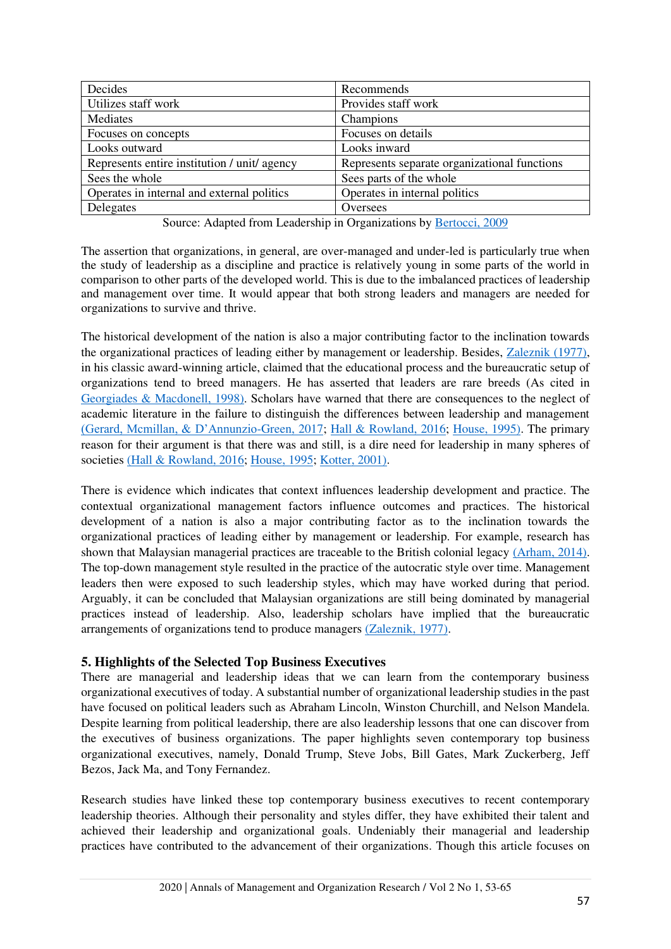| Decides                                      | Recommends                                   |  |
|----------------------------------------------|----------------------------------------------|--|
| Utilizes staff work                          | Provides staff work                          |  |
| Mediates                                     | Champions                                    |  |
| Focuses on concepts                          | Focuses on details                           |  |
| Looks outward                                | Looks inward                                 |  |
| Represents entire institution / unit/ agency | Represents separate organizational functions |  |
| Sees the whole                               | Sees parts of the whole                      |  |
| Operates in internal and external politics   | Operates in internal politics                |  |
| Delegates                                    | Oversees                                     |  |

Source: Adapted from Leadership in Organizations by [Bertocci, 2009](#page-10-2)

The assertion that organizations, in general, are over-managed and under-led is particularly true when the study of leadership as a discipline and practice is relatively young in some parts of the world in comparison to other parts of the developed world. This is due to the imbalanced practices of leadership and management over time. It would appear that both strong leaders and managers are needed for organizations to survive and thrive.

The historical development of the nation is also a major contributing factor to the inclination towards the organizational practices of leading either by management or leadership. Besides, [Zaleznik \(1977\),](#page-12-10) in his classic award-winning article, claimed that the educational process and the bureaucratic setup of organizations tend to breed managers. He has asserted that leaders are rare breeds (As cited in [Georgiades & Macdonell, 1998\).](#page-10-16) Scholars have warned that there are consequences to the neglect of academic literature in the failure to distinguish the differences between leadership and management [\(Gerard, Mcmillan, & D'Annunzio](#page-10-17)-Green, 2017; [Hall & Rowland, 2016;](#page-11-13) [House, 1995\).](#page-11-2) The primary reason for their argument is that there was and still, is a dire need for leadership in many spheres of societie[s \(Hall & Rowland, 2016;](#page-11-13) [House, 1995;](#page-11-2) [Kotter, 2001\).](#page-11-3)

There is evidence which indicates that context influences leadership development and practice. The contextual organizational management factors influence outcomes and practices. The historical development of a nation is also a major contributing factor as to the inclination towards the organizational practices of leading either by management or leadership. For example, research has shown that Malaysian managerial practices are traceable to the British colonial legacy [\(Arham, 2014\).](#page-9-2) The top-down management style resulted in the practice of the autocratic style over time. Management leaders then were exposed to such leadership styles, which may have worked during that period. Arguably, it can be concluded that Malaysian organizations are still being dominated by managerial practices instead of leadership. Also, leadership scholars have implied that the bureaucratic arrangements of organizations tend to produce managers [\(Zaleznik, 1977\).](#page-12-10)

## **5. Highlights of the Selected Top Business Executives**

There are managerial and leadership ideas that we can learn from the contemporary business organizational executives of today. A substantial number of organizational leadership studies in the past have focused on political leaders such as Abraham Lincoln, Winston Churchill, and Nelson Mandela. Despite learning from political leadership, there are also leadership lessons that one can discover from the executives of business organizations. The paper highlights seven contemporary top business organizational executives, namely, Donald Trump, Steve Jobs, Bill Gates, Mark Zuckerberg, Jeff Bezos, Jack Ma, and Tony Fernandez.

Research studies have linked these top contemporary business executives to recent contemporary leadership theories. Although their personality and styles differ, they have exhibited their talent and achieved their leadership and organizational goals. Undeniably their managerial and leadership practices have contributed to the advancement of their organizations. Though this article focuses on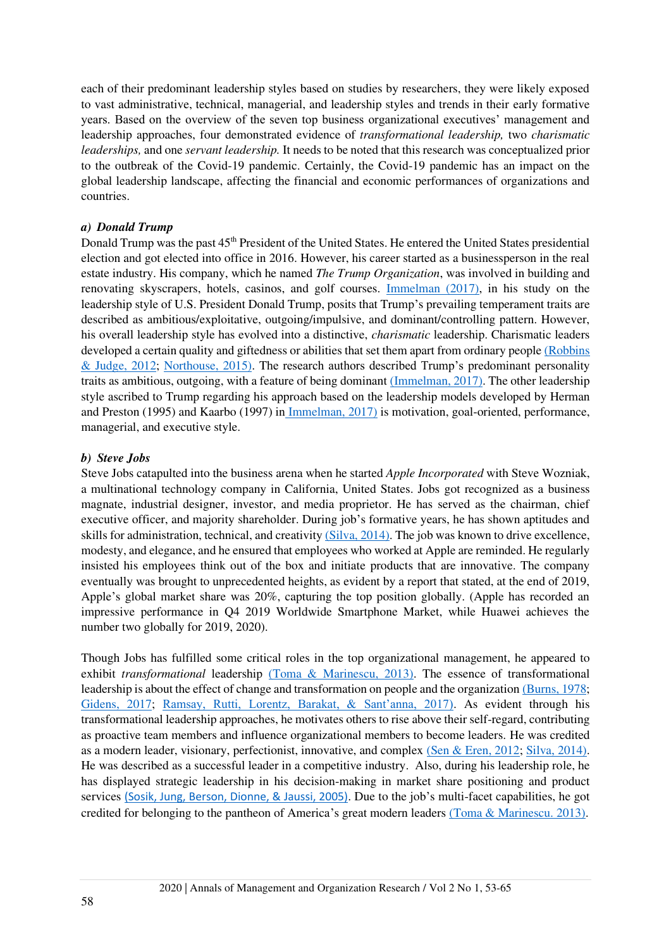each of their predominant leadership styles based on studies by researchers, they were likely exposed to vast administrative, technical, managerial, and leadership styles and trends in their early formative years. Based on the overview of the seven top business organizational executives' management and leadership approaches, four demonstrated evidence of *transformational leadership,* two *charismatic leaderships,* and one *servant leadership.* It needs to be noted that this research was conceptualized prior to the outbreak of the Covid-19 pandemic. Certainly, the Covid-19 pandemic has an impact on the global leadership landscape, affecting the financial and economic performances of organizations and countries.

#### *a) Donald Trump*

Donald Trump was the past 45<sup>th</sup> President of the United States. He entered the United States presidential election and got elected into office in 2016. However, his career started as a businessperson in the real estate industry. His company, which he named *The Trump Organization*, was involved in building and renovating skyscrapers, hotels, casinos, and golf courses. [Immelman \(2017\),](#page-11-14) in his study on the leadership style of U.S. President Donald Trump, posits that Trump's prevailing temperament traits are described as ambitious/exploitative, outgoing/impulsive, and dominant/controlling pattern. However, his overall leadership style has evolved into a distinctive, *charismatic* leadership. Charismatic leaders developed a certain quality and giftedness or abilities that set them apart from ordinary people [\(Robbins](#page-12-3)  [& Judge, 2012;](#page-12-3) [Northouse, 2015\).](#page-11-7) The research authors described Trump's predominant personality traits as ambitious, outgoing, with a feature of being dominant [\(Immelman, 2017\).](#page-11-14) The other leadership style ascribed to Trump regarding his approach based on the leadership models developed by Herman and Preston (1995) and Kaarbo (1997) i[n Immelman, 2017\)](#page-11-14) is motivation, goal-oriented, performance, managerial, and executive style.

### *b) Steve Jobs*

Steve Jobs catapulted into the business arena when he started *Apple Incorporated* with Steve Wozniak, a multinational technology company in California, United States. Jobs got recognized as a business magnate, industrial designer, investor, and media proprietor. He has served as the chairman, chief executive officer, and majority shareholder. During job's formative years, he has shown aptitudes and skills for administration, technical, and creativit[y \(Silva, 2014\).](#page-12-11) The job was known to drive excellence, modesty, and elegance, and he ensured that employees who worked at Apple are reminded. He regularly insisted his employees think out of the box and initiate products that are innovative. The company eventually was brought to unprecedented heights, as evident by a report that stated, at the end of 2019, Apple's global market share was 20%, capturing the top position globally. (Apple has recorded an impressive performance in Q4 2019 Worldwide Smartphone Market, while Huawei achieves the number two globally for 2019, 2020).

Though Jobs has fulfilled some critical roles in the top organizational management, he appeared to exhibit *transformational* leadership [\(Toma & Marinescu, 2013\).](#page-12-12) The essence of transformational leadership is about the effect of change and transformation on people and the organizatio[n \(Burns, 1978;](#page-10-18) [Gidens, 2017;](#page-10-19) [Ramsay, Rutti, Lorentz, Barakat, & Sant'anna, 2017\)](#page-12-13). As evident through his transformational leadership approaches, he motivates others to rise above their self-regard, contributing as proactive team members and influence organizational members to become leaders. He was credited as a modern leader, visionary, perfectionist, innovative, and complex [\(Sen & Eren, 2012;](#page-12-14) [Silva, 2014\).](#page-12-11) He was described as a successful leader in a competitive industry. Also, during his leadership role, he has displayed strategic leadership in his decision-making in market share positioning and product services [\(Sosik, Jung, Berson, Dionne, & Jaussi, 2005\)](#page-12-15). Due to the job's multi-facet capabilities, he got credited for belonging to the pantheon of America's great modern leaders [\(Toma & Marinescu. 2013\).](#page-12-12)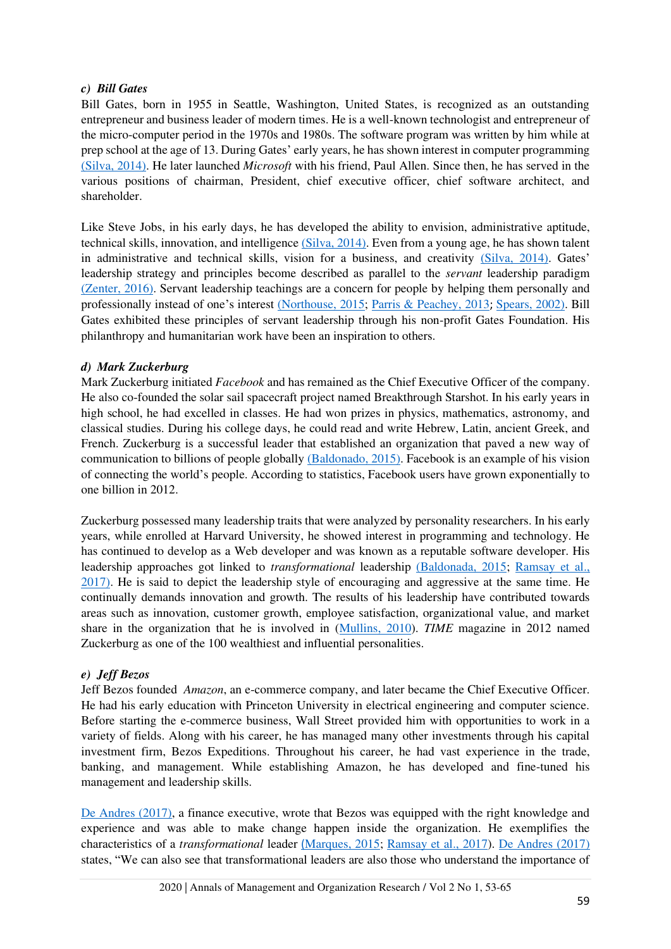### *c) Bill Gates*

Bill Gates, born in 1955 in Seattle, Washington, United States, is recognized as an outstanding entrepreneur and business leader of modern times. He is a well-known technologist and entrepreneur of the micro-computer period in the 1970s and 1980s. The software program was written by him while at prep school at the age of 13. During Gates' early years, he has shown interest in computer programming [\(Silva, 2014\).](#page-12-11) He later launched *Microsoft* with his friend, Paul Allen. Since then, he has served in the various positions of chairman, President, chief executive officer, chief software architect, and shareholder.

Like Steve Jobs, in his early days, he has developed the ability to envision, administrative aptitude, technical skills, innovation, and intelligence [\(Silva, 2014\).](#page-12-11) Even from a young age, he has shown talent in administrative and technical skills, vision for a business, and creativity [\(Silva, 2014\).](#page-12-11) Gates' leadership strategy and principles become described as parallel to the *servant* leadership paradigm [\(Zenter, 2016\).](#page-12-16) Servant leadership teachings are a concern for people by helping them personally and professionally instead of one's interest [\(Northouse, 2015;](#page-11-7) [Parris & Peachey, 2013](#page-11-15); [Spears, 2002\).](#page-12-17) Bill Gates exhibited these principles of servant leadership through his non-profit Gates Foundation. His philanthropy and humanitarian work have been an inspiration to others.

### *d) Mark Zuckerburg*

Mark Zuckerburg initiated *Facebook* and has remained as the Chief Executive Officer of the company. He also co-founded the solar sail spacecraft project named Breakthrough Starshot. In his early years in high school, he had excelled in classes. He had won prizes in physics, mathematics, astronomy, and classical studies. During his college days, he could read and write Hebrew, Latin, ancient Greek, and French. Zuckerburg is a successful leader that established an organization that paved a new way of communication to billions of people globall[y \(Baldonado, 2015\).](#page-10-20) Facebook is an example of his vision of connecting the world's people. According to statistics, Facebook users have grown exponentially to one billion in 2012.

Zuckerburg possessed many leadership traits that were analyzed by personality researchers. In his early years, while enrolled at Harvard University, he showed interest in programming and technology. He has continued to develop as a Web developer and was known as a reputable software developer. His leadership approaches got linked to *transformational* leadership [\(Baldonada, 2015;](#page-10-20) [Ramsay et al.,](#page-12-13)  [2017\).](#page-12-13) He is said to depict the leadership style of encouraging and aggressive at the same time. He continually demands innovation and growth. The results of his leadership have contributed towards areas such as innovation, customer growth, employee satisfaction, organizational value, and market share in the organization that he is involved in [\(Mullins, 2010\)](#page-11-16). *TIME* magazine in 2012 named Zuckerburg as one of the 100 wealthiest and influential personalities.

### *e) Jeff Bezos*

Jeff Bezos founded *Amazon*, an e-commerce company, and later became the Chief Executive Officer. He had his early education with Princeton University in electrical engineering and computer science. Before starting the e-commerce business, Wall Street provided him with opportunities to work in a variety of fields. Along with his career, he has managed many other investments through his capital investment firm, Bezos Expeditions. Throughout his career, he had vast experience in the trade, banking, and management. While establishing Amazon, he has developed and fine-tuned his management and leadership skills.

[De Andres \(2017\),](#page-10-21) a finance executive, wrote that Bezos was equipped with the right knowledge and experience and was able to make change happen inside the organization. He exemplifies the characteristics of a *transformational* leader [\(](#page-11-5)[Marques, 2015;](#page-11-5) [Ramsay et al., 2017\)](#page-12-13). [De Andres \(2017\)](#page-10-21) states, "We can also see that transformational leaders are also those who understand the importance of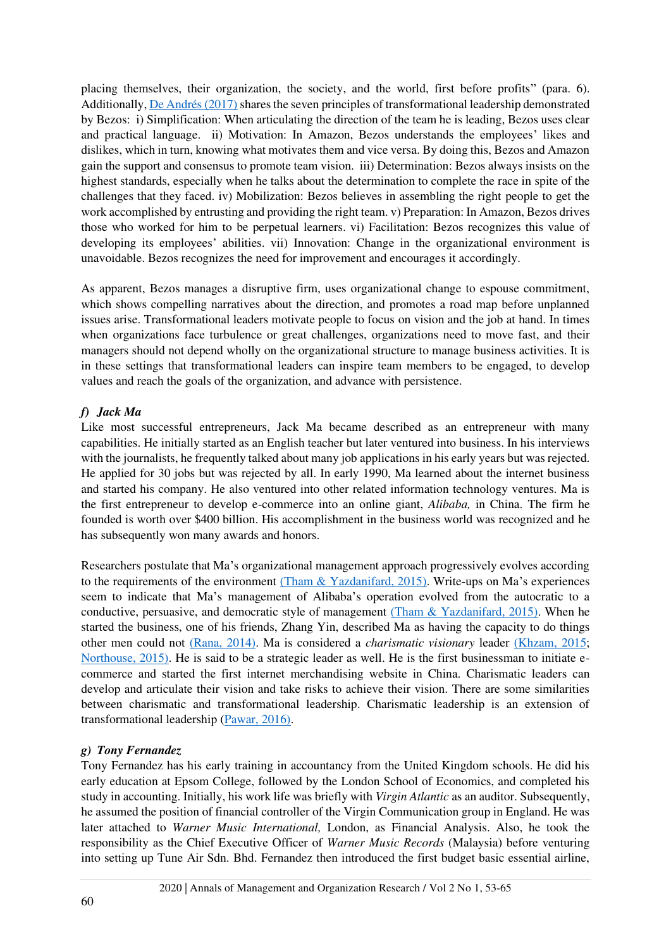placing themselves, their organization, the society, and the world, first before profits" (para. 6). Additionally[, De Andrés \(2017\) s](#page-10-21)hares the seven principles of transformational leadership demonstrated by Bezos: i) Simplification: When articulating the direction of the team he is leading, Bezos uses clear and practical language. ii) Motivation: In Amazon, Bezos understands the employees' likes and dislikes, which in turn, knowing what motivates them and vice versa. By doing this, Bezos and Amazon gain the support and consensus to promote team vision. iii) Determination: Bezos always insists on the highest standards, especially when he talks about the determination to complete the race in spite of the challenges that they faced. iv) Mobilization: Bezos believes in assembling the right people to get the work accomplished by entrusting and providing the right team. v) Preparation: In Amazon, Bezos drives those who worked for him to be perpetual learners. vi) Facilitation: Bezos recognizes this value of developing its employees' abilities. vii) Innovation: Change in the organizational environment is unavoidable. Bezos recognizes the need for improvement and encourages it accordingly.

As apparent, Bezos manages a disruptive firm, uses organizational change to espouse commitment, which shows compelling narratives about the direction, and promotes a road map before unplanned issues arise. Transformational leaders motivate people to focus on vision and the job at hand. In times when organizations face turbulence or great challenges, organizations need to move fast, and their managers should not depend wholly on the organizational structure to manage business activities. It is in these settings that transformational leaders can inspire team members to be engaged, to develop values and reach the goals of the organization, and advance with persistence.

## *f) Jack Ma*

Like most successful entrepreneurs, Jack Ma became described as an entrepreneur with many capabilities. He initially started as an English teacher but later ventured into business. In his interviews with the journalists, he frequently talked about many job applications in his early years but was rejected. He applied for 30 jobs but was rejected by all. In early 1990, Ma learned about the internet business and started his company. He also ventured into other related information technology ventures. Ma is the first entrepreneur to develop e-commerce into an online giant, *Alibaba,* in China. The firm he founded is worth over \$400 billion. His accomplishment in the business world was recognized and he has subsequently won many awards and honors.

Researchers postulate that Ma's organizational management approach progressively evolves according to the requirements of the environment [\(Tham & Yazdanifard, 2015\).](#page-12-18) Write-ups on Ma's experiences seem to indicate that Ma's management of Alibaba's operation evolved from the autocratic to a conductive, persuasive, and democratic style of management [\(Tham & Yazdanifard, 2015\).](#page-12-18) When he started the business, one of his friends, Zhang Yin, described Ma as having the capacity to do things other men could not [\(Rana, 2014\).](#page-12-19) Ma is considered a *charismatic visionary* leader [\(Khzam, 2015;](#page-11-17) [Northouse, 2015\).](#page-11-7) He is said to be a strategic leader as well. He is the first businessman to initiate ecommerce and started the first internet merchandising website in China. Charismatic leaders can develop and articulate their vision and take risks to achieve their vision. There are some similarities between charismatic and transformational leadership. Charismatic leadership is an extension of transformational leadership [\(Pawar, 2016\).](#page-11-18)

### *g) Tony Fernandez*

Tony Fernandez has his early training in accountancy from the United Kingdom schools. He did his early education at Epsom College, followed by the London School of Economics, and completed his study in accounting. Initially, his work life was briefly with *Virgin Atlantic* as an auditor. Subsequently, he assumed the position of financial controller of the Virgin Communication group in England. He was later attached to *Warner Music International,* London, as Financial Analysis. Also, he took the responsibility as the Chief Executive Officer of *Warner Music Records* (Malaysia) before venturing into setting up Tune Air Sdn. Bhd. Fernandez then introduced the first budget basic essential airline,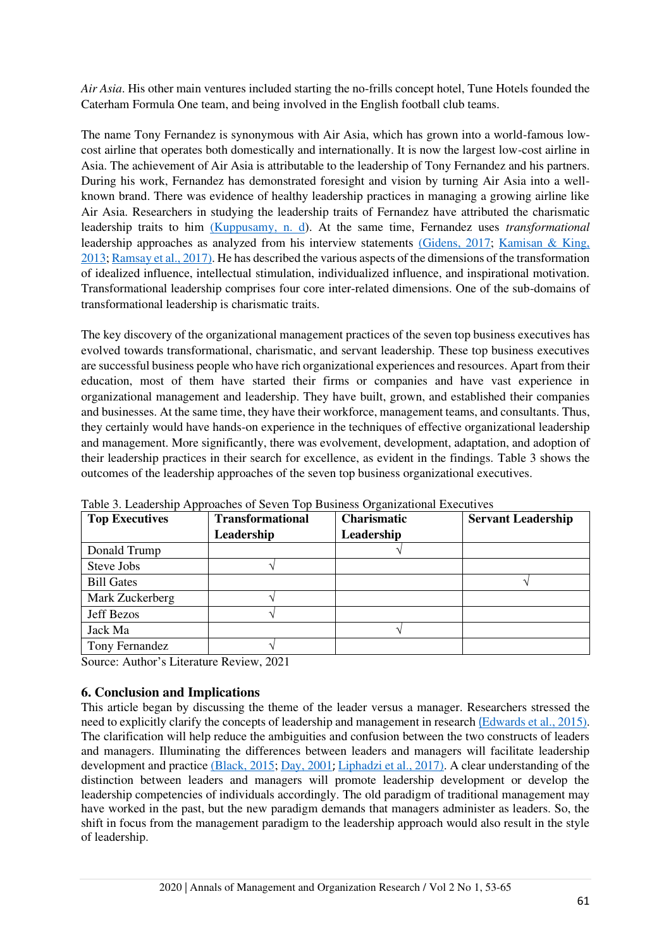*Air Asia*. His other main ventures included starting the no-frills concept hotel, Tune Hotels founded the Caterham Formula One team, and being involved in the English football club teams.

The name Tony Fernandez is synonymous with Air Asia, which has grown into a world-famous lowcost airline that operates both domestically and internationally. It is now the largest low-cost airline in Asia. The achievement of Air Asia is attributable to the leadership of Tony Fernandez and his partners. During his work, Fernandez has demonstrated foresight and vision by turning Air Asia into a wellknown brand. There was evidence of healthy leadership practices in managing a growing airline like Air Asia. Researchers in studying the leadership traits of Fernandez have attributed the charismatic leadership traits to him [\(Kuppusamy, n. d\)](#page-11-19). At the same time, Fernandez uses *transformational* leadership approaches as analyzed from his interview statements [\(Gidens, 2017;](#page-10-19) [Kamisan & King,](#page-11-20)  [2013;](#page-11-20) [Ramsay et al., 2017\).](#page-12-13) He has described the various aspects of the dimensions of the transformation of idealized influence, intellectual stimulation, individualized influence, and inspirational motivation. Transformational leadership comprises four core inter-related dimensions. One of the sub-domains of transformational leadership is charismatic traits.

The key discovery of the organizational management practices of the seven top business executives has evolved towards transformational, charismatic, and servant leadership. These top business executives are successful business people who have rich organizational experiences and resources. Apart from their education, most of them have started their firms or companies and have vast experience in organizational management and leadership. They have built, grown, and established their companies and businesses. At the same time, they have their workforce, management teams, and consultants. Thus, they certainly would have hands-on experience in the techniques of effective organizational leadership and management. More significantly, there was evolvement, development, adaptation, and adoption of their leadership practices in their search for excellence, as evident in the findings. Table 3 shows the outcomes of the leadership approaches of the seven top business organizational executives.

| <b>Top Executives</b> | <b>Transformational</b> | <b>Charismatic</b> | <b>Servant Leadership</b> |
|-----------------------|-------------------------|--------------------|---------------------------|
|                       | Leadership              | Leadership         |                           |
| Donald Trump          |                         |                    |                           |
| Steve Jobs            |                         |                    |                           |
| <b>Bill Gates</b>     |                         |                    |                           |
| Mark Zuckerberg       |                         |                    |                           |
| Jeff Bezos            |                         |                    |                           |
| Jack Ma               |                         |                    |                           |
| Tony Fernandez        |                         |                    |                           |

Table 3. Leadership Approaches of Seven Top Business Organizational Executives

Source: Author's Literature Review, 2021

## **6. Conclusion and Implications**

This article began by discussing the theme of the leader versus a manager. Researchers stressed the need to explicitly clarify the concepts of leadership and management in research [\(](#page-10-0)[Edwards et al., 2015\).](#page-10-0) The clarification will help reduce the ambiguities and confusion between the two constructs of leaders and managers. Illuminating the differences between leaders and managers will facilitate leadership development and practice [\(Black, 2015;](#page-10-4) [Day, 2001](#page-10-1); [Liphadzi et al., 2017\).](#page-11-1) A clear understanding of the distinction between leaders and managers will promote leadership development or develop the leadership competencies of individuals accordingly. The old paradigm of traditional management may have worked in the past, but the new paradigm demands that managers administer as leaders. So, the shift in focus from the management paradigm to the leadership approach would also result in the style of leadership.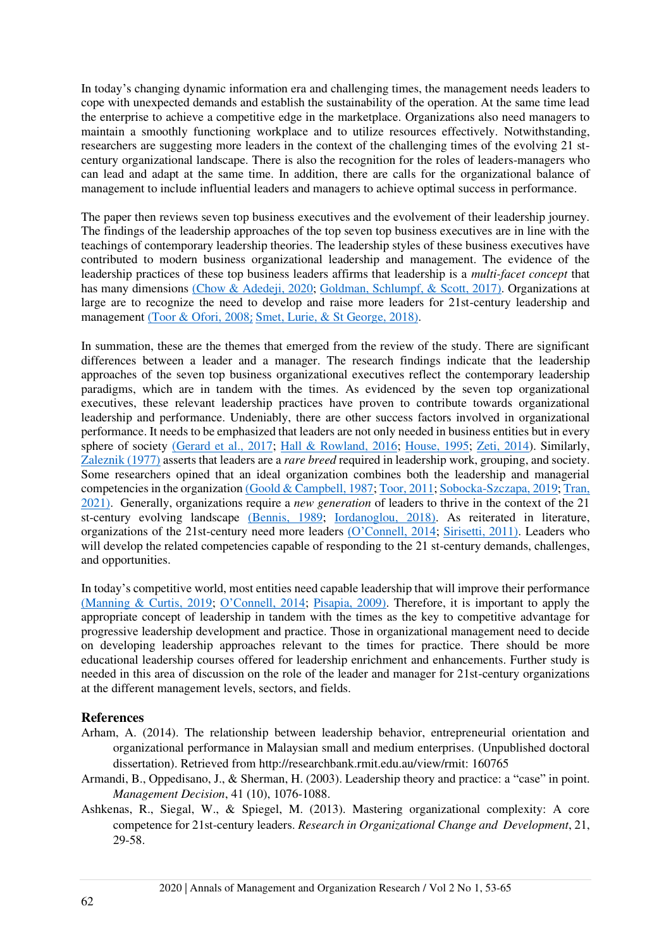In today's changing dynamic information era and challenging times, the management needs leaders to cope with unexpected demands and establish the sustainability of the operation. At the same time lead the enterprise to achieve a competitive edge in the marketplace. Organizations also need managers to maintain a smoothly functioning workplace and to utilize resources effectively. Notwithstanding, researchers are suggesting more leaders in the context of the challenging times of the evolving 21 stcentury organizational landscape. There is also the recognition for the roles of leaders-managers who can lead and adapt at the same time. In addition, there are calls for the organizational balance of management to include influential leaders and managers to achieve optimal success in performance.

The paper then reviews seven top business executives and the evolvement of their leadership journey. The findings of the leadership approaches of the top seven top business executives are in line with the teachings of contemporary leadership theories. The leadership styles of these business executives have contributed to modern business organizational leadership and management. The evidence of the leadership practices of these top business leaders affirms that leadership is a *multi-facet concept* that has many dimensions [\(Chow & Adedeji, 2020;](#page-10-22) [Goldman, Schlumpf, & Scott, 2017\).](#page-10-23) Organizations at large are to recognize the need to develop and raise more leaders for 21st-century leadership and management [\(Toor & Ofori, 2008](#page-12-5)[;](#page-12-5) [Smet, Lurie, & St George, 2018\).](#page-12-20)

In summation, these are the themes that emerged from the review of the study. There are significant differences between a leader and a manager. The research findings indicate that the leadership approaches of the seven top business organizational executives reflect the contemporary leadership paradigms, which are in tandem with the times. As evidenced by the seven top organizational executives, these relevant leadership practices have proven to contribute towards organizational leadership and performance. Undeniably, there are other success factors involved in organizational performance. It needs to be emphasized that leaders are not only needed in business entities but in every sphere of society [\(Gerard et al., 2017;](#page-10-17) [Hall & Rowland, 2016;](#page-11-13) [House, 1995;](#page-11-2) [Zeti, 2014\)](#page-12-21). Similarly, [Zaleznik \(1977\)](#page-12-10) asserts that leaders are a *rare breed* required in leadership work, grouping, and society. Some researchers opined that an ideal organization combines both the leadership and managerial competencies in the organizatio[n \(Goold & Campbell, 1987;](#page-10-15) [Toor, 2011;](#page-12-6) [Sobocka-Szczapa, 2019;](#page-12-4) [Tran,](#page-12-8)  [2021\).](#page-12-8) Generally, organizations require a *new generation* of leaders to thrive in the context of the 21 st-century evolving landscape [\(Bennis, 1989;](#page-10-24) [Iordanoglou, 2018\).](#page-11-21) As reiterated in literature, organizations of the 21st-century need more leaders [\(O'Connell, 2014](#page-11-9); [Sirisetti, 2011\).](#page-12-0) Leaders who will develop the related competencies capable of responding to the 21 st-century demands, challenges, and opportunities.

In today's competitive world, most entities need capable leadership that will improve their performance [\(Manning & Curtis, 2019;](#page-11-22) [O'Connell, 2014](#page-11-9); [Pisapia, 2009\).](#page-11-12) Therefore, it is important to apply the appropriate concept of leadership in tandem with the times as the key to competitive advantage for progressive leadership development and practice. Those in organizational management need to decide on developing leadership approaches relevant to the times for practice. There should be more educational leadership courses offered for leadership enrichment and enhancements. Further study is needed in this area of discussion on the role of the leader and manager for 21st-century organizations at the different management levels, sectors, and fields.

### **References**

- <span id="page-9-2"></span>Arham, A. (2014). The relationship between leadership behavior, entrepreneurial orientation and organizational performance in Malaysian small and medium enterprises. (Unpublished doctoral dissertation). Retrieved from [http://researchbank.rmit.edu.au/v](http://researchbank.rmit.edu.au/)iew/rmit: 160765
- <span id="page-9-1"></span>Armandi, B., Oppedisano, J., & Sherman, H. (2003). Leadership theory and practice: a "case" in point. *Management Decision*, 41 (10), 1076-1088.
- <span id="page-9-0"></span>Ashkenas, R., Siegal, W., & Spiegel, M. (2013). Mastering organizational complexity: A core competence for 21st-century leaders. *Research in Organizational Change and Development*, 21, 29-58.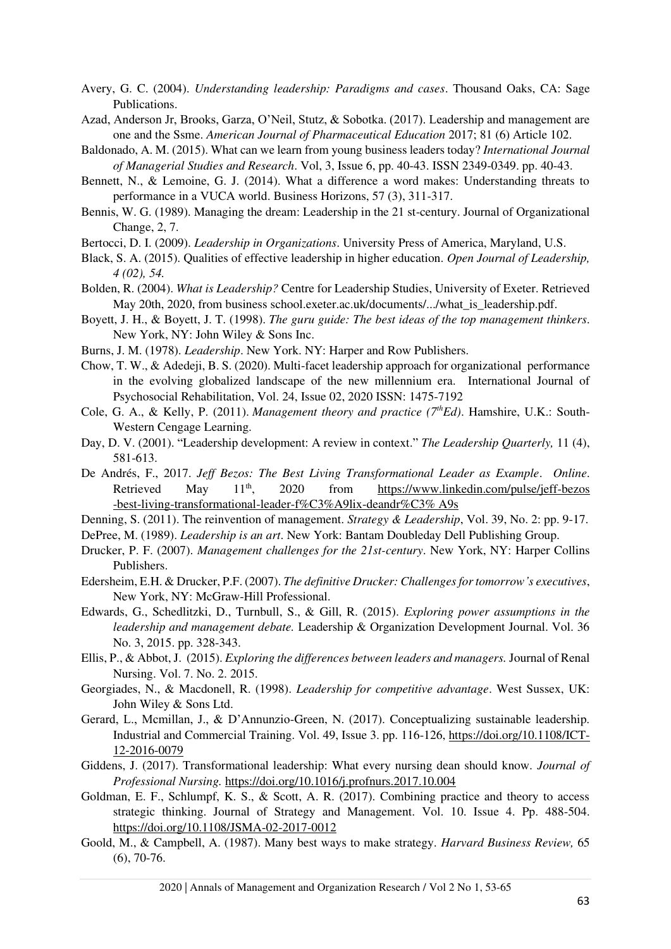<span id="page-10-8"></span>Avery, G. C. (2004). *Understanding leadership: Paradigms and cases*. Thousand Oaks, CA: Sage Publications.

- <span id="page-10-9"></span>Azad, Anderson Jr, Brooks, Garza, O'Neil, Stutz, & Sobotka. (2017). Leadership and management are one and the Ssme. *American Journal of Pharmaceutical Education* 2017; 81 (6) Article 102.
- <span id="page-10-20"></span>Baldonado, A. M. (2015). What can we learn from young business leaders today? *International Journal of Managerial Studies and Research*. Vol, 3, Issue 6, pp. 40-43. ISSN 2349-0349. pp. 40-43.
- <span id="page-10-3"></span>Bennett, N., & Lemoine, G. J. (2014). What a difference a word makes: Understanding threats to performance in a VUCA world. Business Horizons, 57 (3), 311-317.
- <span id="page-10-24"></span>Bennis, W. G. (1989). Managing the dream: Leadership in the 21 st-century. Journal of Organizational Change, 2, 7.
- <span id="page-10-2"></span>Bertocci, D. I. (2009). *Leadership in Organizations*. University Press of America, Maryland, U.S.
- <span id="page-10-4"></span>Black, S. A. (2015). Qualities of effective leadership in higher education. *Open Journal of Leadership, 4 (02), 54.*
- <span id="page-10-14"></span>Bolden, R. (2004). *What is Leadership?* Centre for Leadership Studies, University of Exeter. Retrieved May 20th, 2020, from business school.exeter.ac.uk/documents/.../what\_is\_leadership.pdf.
- <span id="page-10-12"></span>Boyett, J. H., & Boyett, J. T. (1998). *The guru guide: The best ideas of the top management thinkers*. New York, NY: John Wiley & Sons Inc.
- <span id="page-10-18"></span>Burns, J. M. (1978). *Leadership*. New York. NY: Harper and Row Publishers.
- <span id="page-10-22"></span>Chow, T. W., & Adedeji, B. S. (2020). Multi-facet leadership approach for organizational performance in the evolving globalized landscape of the new millennium era. International Journal of Psychosocial Rehabilitation, Vol. 24, Issue 02, 2020 ISSN: 1475-7192
- <span id="page-10-7"></span>Cole, G. A., & Kelly, P. (2011). *Management theory and practice (7thEd)*. Hamshire, U.K.: South-Western Cengage Learning.
- <span id="page-10-1"></span>Day, D. V. (2001). "Leadership development: A review in context." *The Leadership Quarterly,* 11 (4), 581-613.
- <span id="page-10-21"></span>De Andrés, F., 2017. *Jeff Bezos: The Best Living Transformational Leader as Example*. *Online*. Retrieved May  $11<sup>th</sup>$ , 2020 from https://www.linkedin.com/pulse/ieff-bezos [-best-living-transformational-leader-f%C3%A9lix-deandr%C3% A9s](https://www.linkedin.com/pulse/jeff-bezos%20%20%09best-living-transformational-leader-f%C3%A9lix-deandr%C3%25%20A9s)
- <span id="page-10-13"></span>Denning, S. (2011). The reinvention of management. *Strategy & Leadership*, Vol. 39, No. 2: pp. 9-17.
- <span id="page-10-6"></span>DePree, M. (1989). *Leadership is an art*. New York: Bantam Doubleday Dell Publishing Group.
- <span id="page-10-10"></span>Drucker, P. F. (2007). *Management challenges for the 21st-century*. New York, NY: Harper Collins Publishers.
- <span id="page-10-11"></span>Edersheim, E.H. & Drucker, P.F. (2007). *The definitive Drucker: Challenges for tomorrow's executives*, New York, NY: McGraw-Hill Professional.
- <span id="page-10-0"></span>Edwards, G., Schedlitzki, D., Turnbull, S., & Gill, R. (2015). *Exploring power assumptions in the leadership and management debate.* Leadership & Organization Development Journal. Vol. 36 No. 3, 2015. pp. 328-343.
- <span id="page-10-5"></span>Ellis, P., & Abbot, J. (2015). *Exploring the differences between leaders and managers.* Journal of Renal Nursing. Vol. 7. No. 2. 2015.
- <span id="page-10-16"></span>Georgiades, N., & Macdonell, R. (1998). *Leadership for competitive advantage*. West Sussex, UK: John Wiley & Sons Ltd.
- <span id="page-10-17"></span>Gerard, L., Mcmillan, J., & D'Annunzio-Green, N. (2017). Conceptualizing sustainable leadership. Industrial and Commercial Training. Vol. 49, Issue 3. pp. 116-126, [https://doi.org/10.1108/ICT-](https://doi.org/10.1108/ICT-12-2016-0079)[12-2016-0079](https://doi.org/10.1108/ICT-12-2016-0079)
- <span id="page-10-19"></span>Giddens, J. (2017). Transformational leadership: What every nursing dean should know. *Journal of Professional Nursing.*<https://doi.org/10.1016/j.profnurs.2017.10.004>
- <span id="page-10-23"></span>Goldman, E. F., Schlumpf, K. S., & Scott, A. R. (2017). Combining practice and theory to access strategic thinking. Journal of Strategy and Management. Vol. 10. Issue 4. Pp. 488-504. <https://doi.org/10.1108/JSMA-02-2017-0012>
- <span id="page-10-15"></span>Goold, M., & Campbell, A. (1987). Many best ways to make strategy. *Harvard Business Review,* 65 (6), 70-76.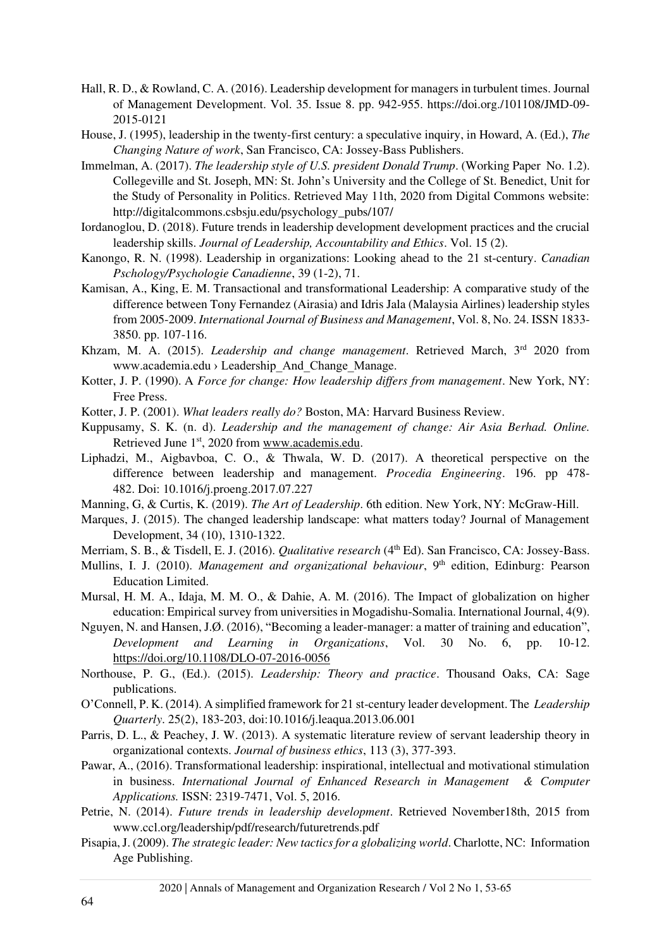- <span id="page-11-13"></span>Hall, R. D., & Rowland, C. A. (2016). Leadership development for managers in turbulent times. Journal of Management Development. Vol. 35. Issue 8. pp. 942-955. https://doi.org./101108/JMD-09- 2015-0121
- <span id="page-11-2"></span>House, J. (1995), leadership in the twenty-first century: a speculative inquiry, in Howard, A. (Ed.), *The Changing Nature of work*, San Francisco, CA: Jossey-Bass Publishers.
- <span id="page-11-14"></span>Immelman, A. (2017). *The leadership style of U.S. president Donald Trump*. (Working Paper No. 1.2). Collegeville and St. Joseph, MN: St. John's University and the College of St. Benedict, Unit for the Study of Personality in Politics. Retrieved May 11th, 2020 from Digital Commons website: [http://digitalcommons.csbsju.edu/psychology\\_pubs/107/](http://digitalcommons.csbsju.edu/psychology_pubs/107/)
- <span id="page-11-21"></span>Iordanoglou, D. (2018). Future trends in leadership development development practices and the crucial leadership skills. *Journal of Leadership, Accountability and Ethics*. Vol. 15 (2).
- <span id="page-11-0"></span>Kanongo, R. N. (1998). Leadership in organizations: Looking ahead to the 21 st-century. *Canadian Pschology/Psychologie Canadienne*, 39 (1-2), 71.
- <span id="page-11-20"></span>Kamisan, A., King, E. M. Transactional and transformational Leadership: A comparative study of the difference between Tony Fernandez (Airasia) and Idris Jala (Malaysia Airlines) leadership styles from 2005-2009. *International Journal of Business and Management*, Vol. 8, No. 24. ISSN 1833- 3850. pp. 107-116.
- <span id="page-11-17"></span>Khzam, M. A. (2015). *Leadership and change management*. Retrieved March, 3<sup>rd</sup> 2020 from www.academia.edu › Leadership\_And\_Change\_Manage.
- <span id="page-11-8"></span>Kotter, J. P. (1990). A *Force for change: How leadership differs from management*. New York, NY: Free Press.
- <span id="page-11-3"></span>Kotter, J. P. (2001). *What leaders really do?* Boston, MA: Harvard Business Review.
- <span id="page-11-19"></span>Kuppusamy, S. K. (n. d). *Leadership and the management of change: Air Asia Berhad. Online.* Retrieved June 1<sup>st</sup>, 2020 from [www.academis.edu.](http://www.academis.edu/)
- <span id="page-11-1"></span>Liphadzi, M., Aigbavboa, C. O., & Thwala, W. D. (2017). A theoretical perspective on the difference between leadership and management. *Procedia Engineering*. 196. pp 478- 482. Doi: 10.1016/j.proeng.2017.07.227
- <span id="page-11-22"></span>Manning, G, & Curtis, K. (2019). *The Art of Leadership*. 6th edition. New York, NY: McGraw-Hill.
- <span id="page-11-5"></span>Marques, J. (2015). The changed leadership landscape: what matters today? Journal of Management Development, 34 (10), 1310-1322.
- <span id="page-11-6"></span>Merriam, S. B., & Tisdell, E. J. (2016). *Qualitative research* (4th Ed). San Francisco, CA: Jossey-Bass.
- <span id="page-11-16"></span>Mullins, I. J. (2010). *Management and organizational behaviour*, 9<sup>th</sup> edition, Edinburg: Pearson Education Limited.
- <span id="page-11-4"></span>Mursal, H. M. A., Idaja, M. M. O., & Dahie, A. M. (2016). The Impact of globalization on higher education: Empirical survey from universities in Mogadishu-Somalia. International Journal, 4(9).
- <span id="page-11-11"></span>Nguyen, N. and Hansen, J.Ø. (2016), "Becoming a leader-manager: a matter of training and education", *Development and Learning in Organizations*, Vol. 30 No. 6, pp. 10-12. <https://doi.org/10.1108/DLO-07-2016-0056>
- <span id="page-11-7"></span>Northouse, P. G., (Ed.). (2015). *Leadership: Theory and practice*. Thousand Oaks, CA: Sage publications.
- <span id="page-11-9"></span>O'Connell, P. K. (2014). A simplified framework for 21 st-century leader development. The *Leadership Quarterly*. 25(2), 183-203, doi:10.1016/j.leaqua.2013.06.001
- <span id="page-11-15"></span>Parris, D. L., & Peachey, J. W. (2013). A systematic literature review of servant leadership theory in organizational contexts. *Journal of business ethics*, 113 (3), 377-393.
- <span id="page-11-18"></span>Pawar, A., (2016). Transformational leadership: inspirational, intellectual and motivational stimulation in business. *International Journal of Enhanced Research in Management & Computer Applications.* ISSN: 2319-7471, Vol. 5, 2016.
- <span id="page-11-10"></span>Petrie, N. (2014). *Future trends in leadership development*. Retrieved November18th, 2015 from [www.ccl.org/leadership/pdf/research/futuretrends.pdf](http://www.ccl.org/leadership/pdf/research/futuretrends.pdf)
- <span id="page-11-12"></span>Pisapia, J. (2009). *The strategic leader: New tactics for a globalizing world*. Charlotte, NC: Information Age Publishing.